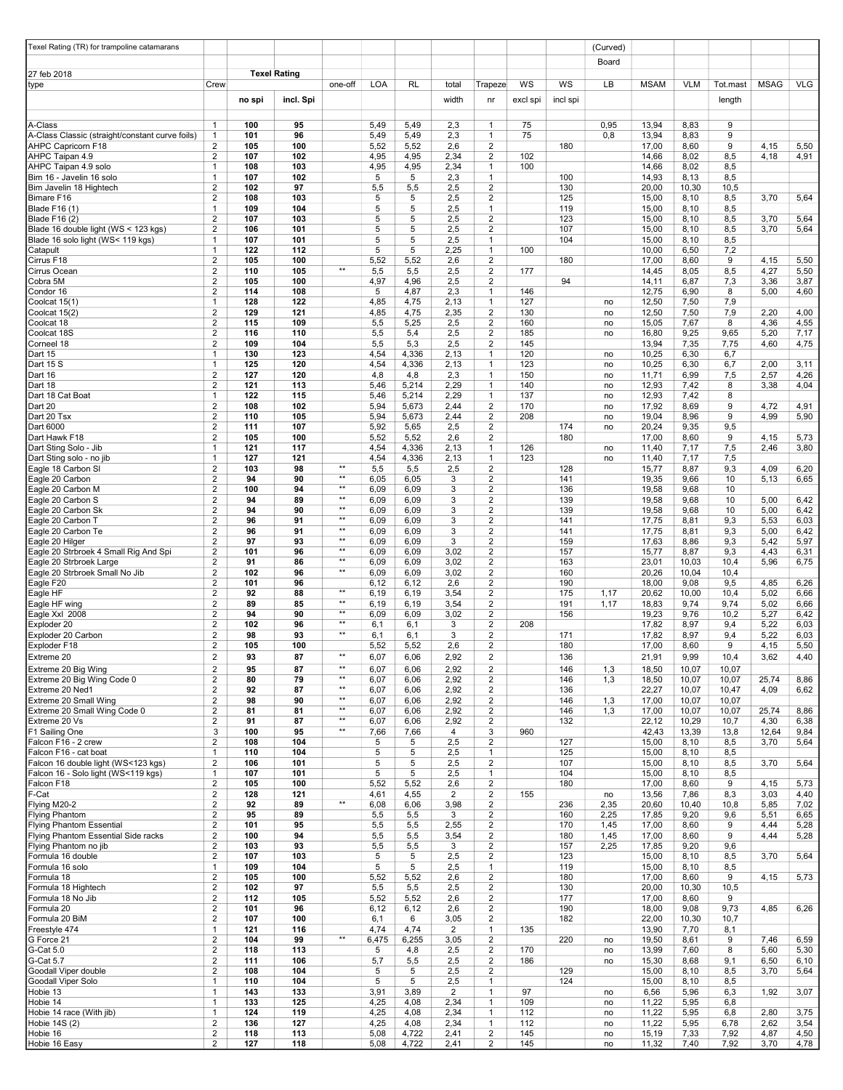| Texel Rating (TR) for trampoline catamarans     |                                  |            |                     |                              |              |                |                |                                                    |            |            | (Curved)     |                |                |                |              |               |
|-------------------------------------------------|----------------------------------|------------|---------------------|------------------------------|--------------|----------------|----------------|----------------------------------------------------|------------|------------|--------------|----------------|----------------|----------------|--------------|---------------|
|                                                 |                                  |            |                     |                              |              |                |                |                                                    |            |            | Board        |                |                |                |              |               |
| 27 feb 2018                                     |                                  |            | <b>Texel Rating</b> |                              |              |                |                |                                                    |            |            |              |                |                |                |              |               |
| ∥type                                           | Crew                             |            |                     | one-off                      | <b>LOA</b>   | <b>RL</b>      | total          | Trapeze                                            | WS         | WS         | LB           | <b>MSAM</b>    | VLM            | Tot.mast       | <b>MSAG</b>  | <b>VLG</b>    |
|                                                 |                                  | no spi     | incl. Spi           |                              |              |                | width          | nr                                                 | excl spi   | incl spi   |              |                |                | length         |              |               |
|                                                 |                                  |            |                     |                              |              |                |                |                                                    |            |            |              |                |                |                |              |               |
| A-Class                                         | 1                                | 100        | 95                  |                              | 5,49         | 5,49           | 2,3            | 1                                                  | 75         |            | 0,95         | 13,94          | 8,83           | 9              |              |               |
| A-Class Classic (straight/constant curve foils) | $\mathbf{1}$                     | 101        | 96                  |                              | 5,49         | 5,49           | 2,3            | $\mathbf{1}$                                       | 75         |            | 0,8          | 13,94          | 8,83           | 9              |              |               |
| AHPC Capricorn F18<br>AHPC Taipan 4.9           | 2<br>2                           | 105<br>107 | 100<br>102          |                              | 5,52<br>4,95 | 5,52<br>4,95   | 2,6<br>2,34    | $\overline{2}$<br>2                                | 102        | 180        |              | 17,00<br>14,66 | 8,60<br>8,02   | 9<br>8,5       | 4,15<br>4,18 | 5,50<br>4,91  |
| AHPC Taipan 4.9 solo                            | 1                                | 108        | 103                 |                              | 4,95         | 4,95           | 2,34           | 1                                                  | 100        |            |              | 14,66          | 8,02           | 8,5            |              |               |
| Bim 16 - Javelin 16 solo                        | $\mathbf{1}$                     | 107        | 102                 |                              | 5            | 5              | 2,3            | 1                                                  |            | 100        |              | 14,93          | 8,13           | 8,5            |              |               |
| Bim Javelin 18 Hightech                         | $\mathbf{2}$                     | 102        | 97                  |                              | 5,5          | 5,5            | 2,5            | 2                                                  |            | 130        |              | 20,00          | 10,30          | 10,5           |              |               |
| Bimare F16<br>Blade F16 (1)                     | $\mathbf{2}$<br>$\mathbf{1}$     | 108<br>109 | 103<br>104          |                              | 5<br>5       | 5<br>5         | 2,5<br>2,5     | $\overline{2}$<br>1                                |            | 125<br>119 |              | 15,00<br>15,00 | 8,10<br>8,10   | 8,5<br>8,5     | 3,70         | 5,64          |
| Blade F16 (2)                                   | $\overline{2}$                   | 107        | 103                 |                              | 5            | 5              | 2,5            | $\overline{2}$                                     |            | 123        |              | 15,00          | 8,10           | 8,5            | 3,70         | 5,64          |
| Blade 16 double light (WS < 123 kgs)            | $\overline{2}$                   | 106        | 101                 |                              | 5            | 5              | 2,5            | $\overline{2}$                                     |            | 107        |              | 15,00          | 8,10           | 8,5            | 3,70         | 5,64          |
| Blade 16 solo light (WS< 119 kgs)               | 1                                | 107        | 101                 |                              | 5            | 5              | 2,5            | 1                                                  |            | 104        |              | 15,00          | 8,10           | 8,5            |              |               |
| Catapult<br>Cirrus F18                          | 1<br>$\overline{c}$              | 122<br>105 | 112<br>100          |                              | 5<br>5,52    | 5<br>5,52      | 2,25<br>2,6    | $\mathbf{1}$<br>$\overline{2}$                     | 100        | 180        |              | 10,00<br>17,00 | 6,50<br>8,60   | 7,2<br>9       | 4,15         | 5,50          |
| Cirrus Ocean                                    | 2                                | 110        | 105                 | $**$                         | 5,5          | 5,5            | 2,5            | $\overline{2}$                                     | 177        |            |              | 14,45          | 8,05           | 8,5            | 4,27         | 5,50          |
| Cobra 5M                                        | $\mathbf{2}$                     | 105        | 100                 |                              | 4,97         | 4,96           | 2,5            | 2                                                  |            | 94         |              | 14,11          | 6,87           | 7,3            | 3,36         | 3,87          |
| Condor 16                                       | 2                                | 114<br>128 | 108<br>122          |                              | 5            | 4,87           | 2,3<br>2,13    | 1<br>1                                             | 146<br>127 |            |              | 12,75          | 6,90           | 8              | 5,00         | 4,60          |
| Coolcat 15(1)<br>Coolcat 15(2)                  | 1<br>$\overline{2}$              | 129        | 121                 |                              | 4,85<br>4,85 | 4,75<br>4,75   | 2,35           | $\overline{\mathbf{c}}$                            | 130        |            | no<br>no     | 12,50<br>12,50 | 7,50<br>7,50   | 7,9<br>7,9     | 2,20         | 4,00          |
| Coolcat 18                                      | 2                                | 115        | 109                 |                              | 5,5          | 5,25           | 2,5            | $\overline{\mathbf{c}}$                            | 160        |            | no           | 15,05          | 7,67           | 8              | 4,36         | 4,55          |
| Coolcat 18S                                     | $\overline{2}$                   | 116        | 110                 |                              | 5,5          | 5,4            | 2,5            | 2                                                  | 185        |            | no           | 16,80          | 9,25           | 9,65           | 5,20         | 7,17          |
| Corneel 18                                      | 2                                | 109        | 104                 |                              | 5,5          | 5,3            | 2,5            | 2                                                  | 145        |            |              | 13,94          | 7,35           | 7,75           | 4,60         | 4,75          |
| Dart 15<br>Dart 15 S                            | $\mathbf{1}$<br>$\mathbf{1}$     | 130<br>125 | 123<br>120          |                              | 4,54<br>4,54 | 4,336<br>4,336 | 2,13<br>2,13   | 1<br>1                                             | 120<br>123 |            | no<br>no     | 10,25<br>10,25 | 6,30<br>6,30   | 6,7<br>6,7     | 2,00         | 3,11          |
| Dart 16                                         | $\overline{2}$                   | 127        | 120                 |                              | 4,8          | 4,8            | 2,3            | 1                                                  | 150        |            | no           | 11,71          | 6,99           | 7,5            | 2,57         | 4,26          |
| Dart 18                                         | $\mathbf{2}$                     | 121        | 113                 |                              | 5,46         | 5,214          | 2,29           | $\mathbf{1}$                                       | 140        |            | no           | 12,93          | 7,42           | 8              | 3,38         | 4,04          |
| Dart 18 Cat Boat                                | $\mathbf{1}$                     | 122        | 115                 |                              | 5,46         | 5,214          | 2,29           | $\mathbf{1}$                                       | 137        |            | no           | 12,93          | 7,42           | 8              |              |               |
| Dart 20<br>Dart 20 Tsx                          | $\mathbf{2}$<br>2                | 108<br>110 | 102<br>105          |                              | 5,94<br>5,94 | 5,673<br>5,673 | 2,44<br>2,44   | 2<br>2                                             | 170<br>208 |            | no<br>no     | 17,92<br>19,04 | 8,69<br>8,96   | 9<br>9         | 4,72<br>4,99 | 4,91<br>5,90  |
| Dart 6000                                       | $\mathbf{2}$                     | 111        | 107                 |                              | 5,92         | 5,65           | 2,5            | $\overline{2}$                                     |            | 174        | no           | 20,24          | 9,35           | 9,5            |              |               |
| Dart Hawk F18                                   | 2                                | 105        | 100                 |                              | 5,52         | 5,52           | 2,6            | 2                                                  |            | 180        |              | 17,00          | 8,60           | 9              | 4,15         | 5,73          |
| Dart Sting Solo - Jib                           | $\mathbf{1}$                     | 121        | 117                 |                              | 4,54         | 4,336          | 2,13           | 1                                                  | 126        |            | no           | 11,40          | 7,17           | 7,5            | 2,46         | 3,80          |
| Dart Sting solo - no jib<br>Eagle 18 Carbon SI  | $\mathbf{1}$<br>$\mathbf{2}$     | 127<br>103 | 121<br>98           | $\star\star$                 | 4,54<br>5,5  | 4,336<br>5,5   | 2,13<br>2,5    | $\mathbf{1}$<br>$\overline{2}$                     | 123        | 128        | no           | 11,40<br>15,77 | 7,17<br>8,87   | 7,5<br>9,3     | 4,09         | 6,20          |
| Eagle 20 Carbon                                 | $\mathbf{2}$                     | 94         | 90                  | $\star\star$                 | 6,05         | 6,05           | 3              | $\overline{2}$                                     |            | 141        |              | 19,35          | 9,66           | 10             | 5,13         | 6,65          |
| Eagle 20 Carbon M                               | $\overline{2}$                   | 100        | 94                  | $\star\star$                 | 6,09         | 6,09           | 3              | $\overline{2}$                                     |            | 136        |              | 19,58          | 9,68           | 10             |              |               |
| Eagle 20 Carbon S                               | $\mathbf{2}$                     | 94         | 89                  | $\star\star$                 | 6,09         | 6,09           | 3              | $\overline{2}$                                     |            | 139        |              | 19,58          | 9,68           | 10             | 5,00         | 6,42          |
| Eagle 20 Carbon Sk                              | $\mathbf{2}$<br>$\mathbf{2}$     | 94<br>96   | 90<br>91            | $\star\star$<br>$**$         | 6,09         | 6,09           | 3              | $\overline{2}$<br>2                                |            | 139        |              | 19,58          | 9,68           | 10             | 5,00         | 6,42          |
| Eagle 20 Carbon T<br>Eagle 20 Carbon Te         | 2                                | 96         | 91                  | **                           | 6,09<br>6,09 | 6,09<br>6,09   | 3<br>3         | 2                                                  |            | 141<br>141 |              | 17,75<br>17,75 | 8,81<br>8,81   | 9,3<br>9,3     | 5,53<br>5,00 | 6,03<br>6,42  |
| Eagle 20 Hilger                                 | $\overline{2}$                   | 97         | 93                  | **                           | 6,09         | 6,09           | 3              | $\overline{2}$                                     |            | 159        |              | 17,63          | 8,86           | 9,3            | 5,42         | 5,97          |
| Eagle 20 Strbroek 4 Small Rig And Spi           | 2                                | 101        | 96                  | $\star\star$                 | 6,09         | 6,09           | 3,02           | $\overline{2}$                                     |            | 157        |              | 15,77          | 8,87           | 9,3            | 4,43         | 6,31          |
| Eagle 20 Strbroek Large                         | $\mathbf{2}$                     | 91         | 86                  | $\star\star$<br>$\star\star$ | 6,09         | 6,09           | 3,02           | $\overline{2}$                                     |            | 163        |              | 23,01          | 10,03          | 10,4           | 5,96         | 6,75          |
| Eagle 20 Strbroek Small No Jib<br>Eagle F20     | 2<br>2                           | 102<br>101 | 96<br>96            |                              | 6,09<br>6,12 | 6,09<br>6,12   | 3,02<br>2,6    | 2<br>2                                             |            | 160<br>190 |              | 20,26<br>18,00 | 10,04<br>9,08  | 10,4<br>9,5    | 4,85         | 6,26          |
| Eagle HF                                        | $\overline{2}$                   | 92         | 88                  | $**$                         | 6,19         | 6,19           | 3,54           | 2                                                  |            | 175        | 1,17         | 20,62          | 10,00          | 10,4           | 5,02         | 6,66          |
| Eagle HF wing                                   | 2                                | 89         | 85                  | $\star\star$                 | 6,19         | 6,19           | 3,54           | 2                                                  |            | 191        | 1,17         | 18,83          | 9,74           | 9,74           | 5,02         | 6,66          |
| Eagle Xxl 2008                                  | 2                                | 94         | 90                  | $**$<br>$\star\star$         | 6,09         | 6,09           | 3,02           | 2                                                  |            | 156        |              | 19,23          | 9,76           | 10,2           | 5,27         | 6,42          |
| Exploder 20<br>Exploder 20 Carbon               | 2<br>2                           | 102<br>98  | 96<br>93            | $**$                         | 6,1<br>6,1   | 6,1<br>6,1     | 3<br>3         | $\overline{\mathbf{c}}$<br>2                       | 208        | 171        |              | 17,82<br>17,82 | 8,97<br>8,97   | 9,4<br>9,4     | 5,22<br>5,22 | 6,03<br>6,03  |
| Exploder F18                                    | 2                                | 105        | 100                 |                              | 5,52         | 5,52           | 2,6            | 2                                                  |            | 180        |              | 17,00          | 8,60           | 9              | 4,15         | 5,50          |
| Extreme 20                                      | 2                                | 93         | 87                  | **                           | 6,07         | 6,06           | 2,92           | 2                                                  |            | 136        |              | 21,91          | 9,99           | 10,4           | 3,62         | 4,40          |
| Extreme 20 Big Wing                             | $\overline{2}$                   | 95         | 87                  | **                           | 6,07         | 6,06           | 2,92           | $\overline{2}$                                     |            | 146        | 1,3          | 18,50          | 10,07          | 10,07          |              |               |
| Extreme 20 Big Wing Code 0                      | $\overline{2}$                   | 80         | 79                  | $\star\star$<br>$\star\star$ | 6,07         | 6,06           | 2,92           | $\overline{2}$                                     |            | 146        | 1,3          | 18,50          | 10,07          | 10,07          | 25,74        | 8,86          |
| Extreme 20 Ned1<br>Extreme 20 Small Wing        | $\overline{2}$<br>2              | 92<br>98   | 87<br>90            | $\star\star$                 | 6,07<br>6,07 | 6,06<br>6,06   | 2,92<br>2,92   | $\overline{\mathbf{c}}$<br>$\overline{\mathbf{c}}$ |            | 136<br>146 | 1,3          | 22,27<br>17,00 | 10,07<br>10,07 | 10,47<br>10,07 | 4,09         | 6,62          |
| Extreme 20 Small Wing Code 0                    | $\overline{c}$                   | 81         | 81                  | $\star\star$                 | 6,07         | 6,06           | 2,92           | $\overline{2}$                                     |            | 146        | 1,3          | 17,00          | 10,07          | 10,07          | 25,74        | 8,86          |
| Extreme 20 Vs                                   | 2                                | 91         | 87                  | $\star\star$                 | 6,07         | 6,06           | 2,92           | $\overline{2}$                                     |            | 132        |              | 22,12          | 10,29          | 10,7           | 4,30         | 6,38          |
| F1 Sailing One                                  | 3                                | 100        | 95                  | **                           | 7,66         | 7,66           | $\overline{4}$ | 3                                                  | 960        |            |              | 42,43          | 13,39          | 13,8           | 12,64        | 9,84          |
| Falcon F16 - 2 crew<br>Falcon F16 - cat boat    | $\overline{2}$<br>$\mathbf{1}$   | 108<br>110 | 104<br>104          |                              | 5<br>5       | 5<br>5         | 2,5<br>2,5     | $\overline{\mathbf{c}}$<br>1                       |            | 127<br>125 |              | 15,00<br>15,00 | 8,10<br>8,10   | 8,5<br>8,5     | 3,70         | 5,64          |
| Falcon 16 double light (WS<123 kgs)             | $\overline{2}$                   | 106        | 101                 |                              | 5            | 5              | 2,5            | $\overline{2}$                                     |            | 107        |              | 15,00          | 8,10           | 8,5            | 3,70         | 5,64          |
| Falcon 16 - Solo light (WS<119 kgs)             | $\mathbf{1}$                     | 107        | 101                 |                              | 5            | 5              | 2,5            | 1                                                  |            | 104        |              | 15,00          | 8,10           | 8,5            |              |               |
| Falcon F18                                      | $\overline{c}$                   | 105        | 100                 |                              | 5,52         | 5,52           | 2,6            | $\overline{2}$                                     |            | 180        |              | 17,00          | 8,60           | 9              | 4,15         | 5,73          |
| F-Cat                                           | $\overline{2}$<br>$\overline{2}$ | 128        | 121                 | $\star\star$                 | 4,61         | 4,55           | 2              | $\overline{2}$<br>$\overline{2}$                   | 155        |            | no           | 13,56          | 7,86           | 8,3            | 3,03         | 4,40          |
| Flying M20-2<br>Flying Phantom                  | $\mathbf{2}$                     | 92<br>95   | 89<br>89            |                              | 6,08<br>5,5  | 6,06<br>5,5    | 3,98<br>3      | $\overline{2}$                                     |            | 236<br>160 | 2,35<br>2,25 | 20,60<br>17,85 | 10,40<br>9,20  | 10,8<br>9,6    | 5,85<br>5,51 | 7,02<br>6,65  |
| Flying Phantom Essential                        | $\mathbf{2}$                     | 101        | 95                  |                              | 5,5          | 5,5            | 2,55           | $\overline{2}$                                     |            | 170        | 1,45         | 17,00          | 8,60           | 9              | 4,44         | 5,28          |
| Flying Phantom Essential Side racks             | $\mathbf{2}$                     | 100        | 94                  |                              | 5,5          | 5,5            | 3,54           | $\overline{\mathbf{c}}$                            |            | 180        | 1,45         | 17,00          | 8,60           | 9              | 4,44         | 5,28          |
| Flying Phantom no jib                           | $\overline{2}$                   | 103        | 93                  |                              | 5,5          | 5,5            | 3              | $\overline{2}$                                     |            | 157        | 2,25         | 17,85          | 9,20           | 9,6            |              |               |
| Formula 16 double<br>Formula 16 solo            | $\overline{2}$<br>$\mathbf{1}$   | 107<br>109 | 103<br>104          |                              | 5<br>5       | 5<br>5         | 2,5<br>2,5     | $\overline{\mathbf{c}}$<br>$\mathbf{1}$            |            | 123<br>119 |              | 15,00<br>15,00 | 8,10<br>8,10   | 8,5<br>8,5     | 3,70         | 5,64          |
| Formula 18                                      | $\overline{2}$                   | 105        | 100                 |                              | 5,52         | 5,52           | 2,6            | $\overline{\mathbf{c}}$                            |            | 180        |              | 17,00          | 8,60           | 9              | 4,15         | 5,73          |
| Formula 18 Hightech                             | $\overline{2}$                   | 102        | 97                  |                              | 5,5          | 5,5            | 2,5            | $\overline{2}$                                     |            | 130        |              | 20,00          | 10,30          | 10,5           |              |               |
| Formula 18 No Jib                               | $\overline{2}$                   | 112        | 105                 |                              | 5,52         | 5,52           | 2,6            | 2                                                  |            | 177        |              | 17,00          | 8,60           | 9              |              |               |
| Formula 20<br>Formula 20 BiM                    | $\overline{2}$<br>$\overline{2}$ | 101<br>107 | 96<br>100           |                              | 6,12<br>6,1  | 6,12<br>6      | 2,6<br>3,05    | $\overline{\mathbf{c}}$<br>$\overline{2}$          |            | 190<br>182 |              | 18,00<br>22,00 | 9,08<br>10,30  | 9,73<br>10,7   | 4,85         | 6,26          |
| Freestyle 474                                   | $\mathbf{1}$                     | 121        | 116                 |                              | 4,74         | 4,74           | $\overline{2}$ | $\mathbf{1}$                                       | 135        |            |              | 13,90          | 7,70           | 8,1            |              |               |
| G Force 21                                      | $\overline{2}$                   | 104        | 99                  | $\star\star$                 | 6,475        | 6,255          | 3,05           | $\overline{2}$                                     |            | 220        | no           | 19,50          | 8,61           | 9              | 7,46         | 6,59          |
| G-Cat 5.0                                       | $\overline{2}$                   | 118        | 113                 |                              | 5            | 4,8            | 2,5            | $\overline{2}$                                     | 170        |            | no           | 13,99          | 7,60           | 8              | 5,60         | 5,30          |
| G-Cat 5.7<br>Goodall Viper double               | $\overline{2}$<br>$\overline{2}$ | 111<br>108 | 106<br>104          |                              | 5,7<br>5     | 5,5<br>5       | 2,5<br>2,5     | $\overline{2}$<br>$\overline{2}$                   | 186        | 129        | no           | 15,30<br>15,00 | 8,68<br>8,10   | 9,1<br>8,5     | 6,50<br>3,70 | 6, 10<br>5,64 |
| Goodall Viper Solo                              | $\mathbf{1}$                     | 110        | 104                 |                              | 5            | 5              | 2,5            | $\mathbf{1}$                                       |            | 124        |              | 15,00          | 8,10           | 8,5            |              |               |
| Hobie 13                                        | $\mathbf{1}$                     | 143        | 133                 |                              | 3,91         | 3,89           | $\overline{2}$ | $\mathbf{1}$                                       | 97         |            | no           | 6,56           | 5,96           | 6,3            | 1,92         | 3,07          |
| Hobie 14                                        | $\mathbf{1}$                     | 133        | 125                 |                              | 4,25         | 4,08           | 2,34           | $\mathbf{1}$                                       | 109        |            | no           | 11,22          | 5,95           | 6,8            |              |               |
| Hobie 14 race (With jib)<br>Hobie 14S (2)       | $\mathbf{1}$<br>$\overline{2}$   | 124<br>136 | 119<br>127          |                              | 4,25<br>4,25 | 4,08<br>4,08   | 2,34<br>2,34   | $\mathbf{1}$<br>$\mathbf{1}$                       | 112<br>112 |            | no<br>no     | 11,22<br>11,22 | 5,95<br>5,95   | 6,8<br>6,78    | 2,80<br>2,62 | 3,75<br>3,54  |
| Hobie 16                                        | $\overline{2}$                   | 118        | 113                 |                              | 5,08         | 4,722          | 2,41           | $\overline{\mathbf{c}}$                            | 145        |            | no           | 15,19          | 7,33           | 7,92           | 4,87         | 4,50          |
| Hobie 16 Easy                                   | $\overline{2}$                   | 127        | 118                 |                              | 5,08         | 4,722          | 2,41           | 2                                                  | 145        |            | no           | 11,32          | 7,40           | 7,92           | 3,70         | 4,78          |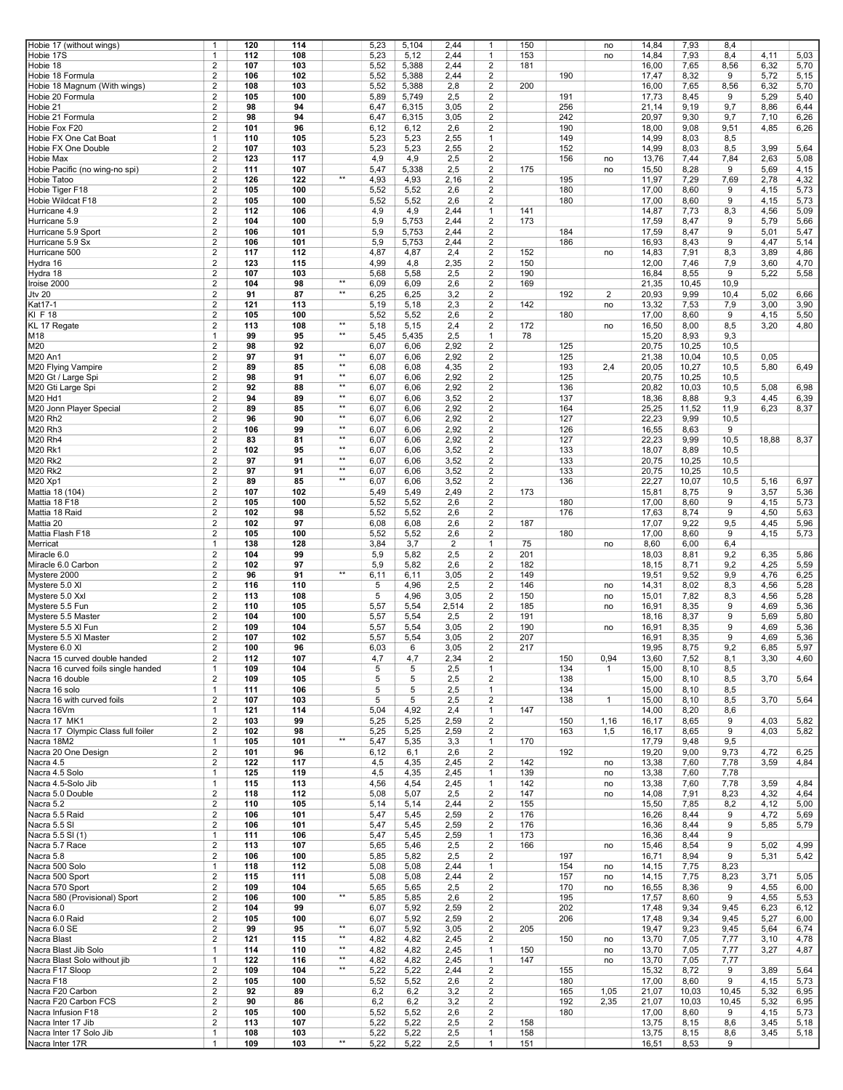| Hobie 17 (without wings)            | 1                       | 120 | 114 |              | 5,23 | 5,104          | 2,44           | $\mathbf{1}$   | 150 |     | no           | 14,84 | 7,93  | 8,4   |       |      |
|-------------------------------------|-------------------------|-----|-----|--------------|------|----------------|----------------|----------------|-----|-----|--------------|-------|-------|-------|-------|------|
| Hobie 17S                           | 1                       | 112 | 108 |              | 5,23 | 5,12           | 2,44           | $\mathbf{1}$   | 153 |     | no           | 14,84 | 7,93  | 8,4   | 4,11  | 5,03 |
| Hobie 18                            | $\overline{2}$          | 107 | 103 |              | 5,52 | 5,388          | 2,44           | $\overline{2}$ | 181 |     |              | 16,00 | 7,65  | 8,56  | 6,32  | 5,70 |
| Hobie 18 Formula                    | 2                       | 106 | 102 |              | 5,52 | 5,388          | 2,44           | $\overline{2}$ |     | 190 |              | 17,47 | 8,32  | 9     | 5,72  | 5,15 |
|                                     |                         |     |     |              |      |                |                |                |     |     |              |       |       |       |       |      |
| Hobie 18 Magnum (With wings)        | $\overline{2}$          | 108 | 103 |              | 5,52 | 5,388          | 2,8            | $\overline{2}$ | 200 |     |              | 16,00 | 7,65  | 8,56  | 6,32  | 5,70 |
| Hobie 20 Formula                    | $\overline{2}$          | 105 | 100 |              | 5,89 | 5,749          | 2,5            | $\overline{2}$ |     | 191 |              | 17,73 | 8,45  | 9     | 5,29  | 5,40 |
| Hobie 21                            | $\overline{2}$          | 98  | 94  |              | 6,47 | 6,315          | 3,05           | $\overline{2}$ |     | 256 |              | 21,14 | 9,19  | 9,7   | 8,86  | 6,44 |
|                                     |                         |     |     |              |      |                |                |                |     |     |              |       |       |       |       |      |
| Hobie 21 Formula                    | $\overline{2}$          | 98  | 94  |              | 6,47 | 6,315          | 3,05           | $\overline{2}$ |     | 242 |              | 20,97 | 9,30  | 9,7   | 7,10  | 6,26 |
| Hobie Fox F20                       | $\overline{2}$          | 101 | 96  |              | 6,12 | 6,12           | 2,6            | $\overline{2}$ |     | 190 |              | 18,00 | 9,08  | 9,51  | 4,85  | 6,26 |
| Hobie FX One Cat Boat               | $\mathbf{1}$            | 110 | 105 |              | 5,23 | 5,23           | 2,55           | $\mathbf{1}$   |     | 149 |              | 14,99 | 8,03  | 8,5   |       |      |
|                                     |                         |     |     |              |      |                |                |                |     |     |              |       |       |       |       |      |
| Hobie FX One Double                 | $\overline{2}$          | 107 | 103 |              | 5,23 | 5,23           | 2,55           | $\overline{2}$ |     | 152 |              | 14,99 | 8,03  | 8,5   | 3,99  | 5,64 |
| Hobie Max                           | $\overline{2}$          | 123 | 117 |              | 4,9  | 4,9            | 2,5            | $\overline{2}$ |     | 156 | no           | 13,76 | 7,44  | 7,84  | 2,63  | 5,08 |
| Hobie Pacific (no wing-no spi)      | $\overline{2}$          | 111 | 107 |              | 5,47 | 5,338          | 2,5            | $\overline{2}$ | 175 |     | no           | 15,50 | 8,28  | 9     | 5,69  | 4,15 |
|                                     |                         |     |     | $\star\star$ |      |                |                |                |     |     |              |       |       |       |       |      |
| <b>Hobie Tatoo</b>                  | $\overline{2}$          | 126 | 122 |              | 4,93 | 4,93           | 2,16           | $\overline{2}$ |     | 195 |              | 11,97 | 7,29  | 7,69  | 2,78  | 4,32 |
| Hobie Tiger F18                     | $\overline{2}$          | 105 | 100 |              | 5,52 | 5,52           | 2,6            | $\overline{2}$ |     | 180 |              | 17,00 | 8,60  | 9     | 4,15  | 5,73 |
| Hobie Wildcat F18                   | 2                       | 105 | 100 |              | 5,52 | 5,52           | 2,6            | $\overline{c}$ |     | 180 |              | 17,00 | 8,60  | 9     | 4,15  | 5,73 |
|                                     |                         |     |     |              |      |                |                |                |     |     |              |       |       |       |       |      |
| Hurricane 4.9                       | $\overline{\mathbf{c}}$ | 112 | 106 |              | 4,9  | 4,9            | 2,44           | $\mathbf{1}$   | 141 |     |              | 14,87 | 7,73  | 8,3   | 4,56  | 5,09 |
| Hurricane 5.9                       | 2                       | 104 | 100 |              | 5,9  | 5,753          | 2,44           | $\overline{c}$ | 173 |     |              | 17,59 | 8,47  | 9     | 5,79  | 5,66 |
| Hurricane 5.9 Sport                 | 2                       | 106 | 101 |              | 5,9  | 5,753          | 2,44           | $\overline{c}$ |     | 184 |              | 17,59 | 8,47  | 9     | 5,01  | 5,47 |
|                                     |                         |     |     |              |      |                |                |                |     |     |              |       |       |       |       |      |
| Hurricane 5.9 Sx                    | 2                       | 106 | 101 |              | 5,9  | 5,753          | 2,44           | $\overline{c}$ |     | 186 |              | 16,93 | 8,43  | 9     | 4,47  | 5,14 |
| Hurricane 500                       | 2                       | 117 | 112 |              | 4,87 | 4,87           | 2,4            | $\overline{c}$ | 152 |     | no           | 14,83 | 7,91  | 8,3   | 3,89  | 4,86 |
| Hydra 16                            | $\overline{2}$          | 123 | 115 |              | 4,99 | 4,8            | 2,35           | $\overline{c}$ | 150 |     |              | 12,00 | 7,46  | 7,9   | 3,60  | 4,70 |
|                                     |                         |     |     |              |      |                |                |                |     |     |              |       |       |       |       |      |
| Hydra 18                            | 2                       | 107 | 103 |              | 5,68 | 5,58           | 2,5            | $\overline{2}$ | 190 |     |              | 16,84 | 8,55  | 9     | 5,22  | 5,58 |
| Iroise 2000                         | 2                       | 104 | 98  | $\star\star$ | 6,09 | 6,09           | 2,6            | 2              | 169 |     |              | 21,35 | 10,45 | 10,9  |       |      |
| <b>Jtv 20</b>                       | $\overline{2}$          | 91  | 87  | $\star\star$ | 6,25 | 6,25           | 3,2            | $\overline{2}$ |     | 192 | 2            | 20,93 | 9,99  | 10,4  | 5,02  | 6,66 |
|                                     |                         |     |     |              |      |                |                |                |     |     |              |       |       |       |       |      |
| Kat17-1                             | 2                       | 121 | 113 |              | 5,19 | 5,18           | 2,3            | $\overline{2}$ | 142 |     | no           | 13,32 | 7,53  | 7,9   | 3,00  | 3,90 |
| KI F 18                             | 2                       | 105 | 100 |              | 5,52 | 5,52           | 2,6            | $\overline{2}$ |     | 180 |              | 17,00 | 8,60  | 9     | 4,15  | 5,50 |
| KL 17 Regate                        | 2                       | 113 | 108 | $\star\star$ | 5,18 | 5,15           | 2,4            | 2              | 172 |     | no           | 16,50 | 8,00  | 8,5   | 3,20  | 4,80 |
|                                     | $\mathbf{1}$            |     |     | $\star\star$ |      |                |                |                |     |     |              |       |       |       |       |      |
| M18                                 |                         | 99  | 95  |              | 5,45 | 5,435          | 2,5            | $\mathbf{1}$   | 78  |     |              | 15,20 | 8,93  | 9,3   |       |      |
| M20                                 | $\overline{2}$          | 98  | 92  |              | 6,07 | 6,06           | 2,92           | $\overline{2}$ |     | 125 |              | 20,75 | 10,25 | 10,5  |       |      |
| <b>M20 An1</b>                      | $\overline{2}$          | 97  | 91  | $\star\star$ | 6,07 | 6,06           | 2,92           | $\overline{2}$ |     | 125 |              | 21,38 | 10,04 | 10,5  | 0,05  |      |
|                                     | $\overline{2}$          |     | 85  | $\star\star$ | 6,08 |                |                | $\overline{2}$ |     | 193 |              |       | 10,27 |       | 5,80  | 6,49 |
| M20 Flying Vampire                  |                         | 89  |     |              |      | 6,08           | 4,35           |                |     |     | 2,4          | 20,05 |       | 10,5  |       |      |
| M20 Gt / Large Spi                  | $\overline{2}$          | 98  | 91  | $\star\star$ | 6,07 | 6,06           | 2,92           | $\overline{2}$ |     | 125 |              | 20,75 | 10,25 | 10,5  |       |      |
| M20 Gti Large Spi                   | $\overline{2}$          | 92  | 88  | $\star\star$ | 6,07 | 6,06           | 2,92           | $\overline{2}$ |     | 136 |              | 20,82 | 10,03 | 10,5  | 5,08  | 6,98 |
| M20 Hd1                             | $\overline{2}$          | 94  | 89  | $\star\star$ |      | 6,06           | 3,52           | $\overline{2}$ |     | 137 |              |       |       |       | 4,45  |      |
|                                     |                         |     |     |              | 6,07 |                |                |                |     |     |              | 18,36 | 8,88  | 9,3   |       | 6,39 |
| M20 Jonn Player Special             | $\overline{2}$          | 89  | 85  | $\star\star$ | 6,07 | 6,06           | 2,92           | $\overline{2}$ |     | 164 |              | 25,25 | 11,52 | 11,9  | 6,23  | 8,37 |
| M20 Rh2                             | $\overline{2}$          | 96  | 90  | $\star\star$ | 6,07 | 6,06           | 2,92           | $\overline{2}$ |     | 127 |              | 22,23 | 9,99  | 10,5  |       |      |
| M20 Rh3                             | $\overline{2}$          | 106 | 99  | $\star\star$ |      |                |                | $\overline{2}$ |     | 126 |              |       |       | 9     |       |      |
|                                     |                         |     |     |              | 6,07 | 6,06           | 2,92           |                |     |     |              | 16,55 | 8,63  |       |       |      |
| <b>M20 Rh4</b>                      | $\overline{2}$          | 83  | 81  | $\star\star$ | 6,07 | 6,06           | 2,92           | $\overline{2}$ |     | 127 |              | 22,23 | 9,99  | 10,5  | 18,88 | 8,37 |
| <b>M20 Rk1</b>                      | $\overline{2}$          | 102 | 95  | $\star\star$ | 6,07 | 6,06           | 3,52           | $\overline{2}$ |     | 133 |              | 18,07 | 8,89  | 10,5  |       |      |
|                                     |                         |     |     | $\star\star$ |      |                |                |                |     |     |              |       |       |       |       |      |
| <b>M20 Rk2</b>                      | 2                       | 97  | 91  |              | 6,07 | 6,06           | 3,52           | $\overline{c}$ |     | 133 |              | 20,75 | 10,25 | 10,5  |       |      |
| <b>M20 Rk2</b>                      | 2                       | 97  | 91  | $\star\star$ | 6,07 | 6,06           | 3,52           | $\overline{c}$ |     | 133 |              | 20,75 | 10,25 | 10,5  |       |      |
| M20 Xp1                             | 2                       | 89  | 85  | $\star\star$ | 6,07 | 6,06           | 3,52           | $\overline{c}$ |     | 136 |              | 22,27 | 10,07 | 10,5  | 5,16  | 6,97 |
| Mattia 18 (104)                     | 2                       | 107 | 102 |              | 5,49 | 5,49           | 2,49           | $\overline{c}$ | 173 |     |              | 15,81 | 8,75  | 9     | 3,57  |      |
|                                     |                         |     |     |              |      |                |                |                |     |     |              |       |       |       |       | 5,36 |
| Mattia 18 F18                       | 2                       | 105 | 100 |              | 5,52 | 5,52           | 2,6            | $\overline{c}$ |     | 180 |              | 17,00 | 8,60  | 9     | 4,15  | 5,73 |
| Mattia 18 Raid                      | 2                       | 102 | 98  |              | 5,52 | 5,52           | 2,6            | $\overline{c}$ |     | 176 |              | 17,63 | 8,74  | 9     | 4,50  | 5,63 |
| Mattia 20                           | 2                       | 102 | 97  |              | 6,08 | 6,08           | 2,6            | $\overline{c}$ | 187 |     |              | 17,07 | 9,22  | 9,5   | 4,45  | 5,96 |
|                                     |                         |     |     |              |      |                |                |                |     |     |              |       |       |       |       |      |
| Mattia Flash F18                    | 2                       | 105 | 100 |              | 5,52 | 5,52           | 2,6            | $\overline{2}$ |     | 180 |              | 17,00 | 8,60  | 9     | 4,15  | 5,73 |
| Merricat                            | $\mathbf{1}$            | 138 | 128 |              | 3,84 | 3,7            | $\overline{2}$ | $\mathbf{1}$   | 75  |     | no           | 8,60  | 6,00  | 6,4   |       |      |
| Miracle 6.0                         | 2                       | 104 | 99  |              | 5,9  | 5,82           | 2,5            | $\overline{2}$ | 201 |     |              | 18,03 | 8,81  | 9,2   | 6,35  | 5,86 |
|                                     |                         |     |     |              |      |                |                |                |     |     |              |       |       |       |       |      |
| Miracle 6.0 Carbon                  | 2                       | 102 | 97  |              | 5,9  | 5,82           | 2,6            | $\overline{c}$ | 182 |     |              | 18,15 | 8,71  | 9,2   | 4,25  | 5,59 |
| Mystere 2000                        | 2                       | 96  | 91  | $\star\star$ | 6,11 | 6,11           | 3,05           | $\overline{2}$ | 149 |     |              | 19,51 | 9,52  | 9,9   | 4,76  | 6,25 |
| Mystere 5.0 XI                      | 2                       | 116 | 110 |              | 5    | 4,96           | 2,5            | $\overline{c}$ | 146 |     | no           | 14,31 | 8,02  | 8,3   | 4,56  | 5,28 |
|                                     |                         |     |     |              |      |                |                |                |     |     |              |       |       |       |       |      |
| Mystere 5.0 Xxl                     | $\overline{2}$          | 113 | 108 |              | 5    | 4,96           | 3,05           | $\overline{2}$ | 150 |     | no           | 15,01 | 7,82  | 8,3   | 4,56  | 5,28 |
| Mystere 5.5 Fun                     | $\overline{2}$          | 110 | 105 |              | 5,57 | 5,54           | 2,514          | $\overline{2}$ | 185 |     | no           | 16,91 | 8,35  | 9     | 4,69  | 5,36 |
| Mystere 5.5 Master                  | $\overline{2}$          | 104 | 100 |              | 5,57 | 5,54           | 2,5            | $\overline{c}$ | 191 |     |              | 18,16 | 8,37  | $9\,$ | 5,69  | 5,80 |
|                                     |                         |     |     |              |      |                |                |                |     |     |              |       |       |       |       |      |
| Mystere 5.5 XI Fun                  | $\overline{2}$          | 109 | 104 |              | 5,57 | 5,54           | 3,05           | $\overline{2}$ | 190 |     | no           | 16,91 | 8,35  | 9     | 4,69  | 5,36 |
| Mystere 5.5 XI Master               | $\overline{2}$          | 107 | 102 |              | 5,57 | 5,54           | 3,05           | $\overline{2}$ | 207 |     |              | 16,91 | 8,35  | 9     | 4,69  | 5,36 |
| Mystere 6.0 XI                      | $\overline{2}$          | 100 | 96  |              | 6,03 | 6              | 3,05           | $\overline{2}$ | 217 |     |              | 19,95 | 8,75  | 9,2   | 6,85  | 5,97 |
|                                     |                         |     |     |              |      |                |                |                |     |     |              |       |       |       |       |      |
| Nacra 15 curved double handed       | 2                       | 112 | 107 |              | 4,7  | 4,7            | 2,34           | 2              |     | 150 | 0,94         | 13,60 | 7,52  | 8,1   | 3,30  | 4,60 |
| Nacra 16 curved foils single handed | 1                       | 109 | 104 |              | 5    | 5              | 2,5            | 1              |     | 134 | $\mathbf{1}$ | 15,00 | 8,10  | 8,5   |       |      |
| Nacra 16 double                     | $\overline{2}$          | 109 | 105 |              | 5    | 5              | 2,5            | $\overline{2}$ |     | 138 |              | 15,00 | 8,10  | 8,5   | 3,70  | 5,64 |
| Nacra 16 solo                       | $\mathbf{1}$            |     | 106 |              |      | 5              |                |                |     |     |              |       |       |       |       |      |
|                                     |                         | 111 |     |              | 5    |                | 2,5            | $\mathbf{1}$   |     | 134 |              | 15,00 | 8,10  | 8,5   |       |      |
| Nacra 16 with curved foils          | $\overline{\mathbf{c}}$ | 107 | 103 |              | 5    | $\overline{5}$ | 2,5            | $\overline{2}$ |     | 138 | $\mathbf{1}$ | 15,00 | 8,10  | 8,5   | 3,70  | 5,64 |
| Nacra 16Vm                          | $\mathbf{1}$            | 121 | 114 |              | 5,04 | 4,92           | 2,4            | $\mathbf{1}$   | 147 |     |              | 14,00 | 8,20  | 8,6   |       |      |
|                                     |                         |     |     |              |      |                |                |                |     |     |              |       |       |       |       |      |
| Nacra 17 MK1                        | $\overline{\mathbf{c}}$ | 103 | 99  |              | 5,25 | 5,25           | 2,59           | $\overline{c}$ |     | 150 | 1,16         | 16,17 | 8,65  | 9     | 4,03  | 5,82 |
| Nacra 17 Olympic Class full foiler  | 2                       | 102 | 98  |              | 5,25 | 5,25           | 2,59           | $\overline{c}$ |     | 163 | 1,5          | 16,17 | 8,65  | 9     | 4,03  | 5,82 |
| Nacra 18M2                          | $\mathbf{1}$            | 105 | 101 | $\star\star$ | 5,47 | 5,35           | 3,3            | $\mathbf{1}$   | 170 |     |              | 17,79 | 9,48  | 9,5   |       |      |
| Nacra 20 One Design                 | 2                       | 101 | 96  |              | 6,12 | 6,1            | 2,6            | $\overline{2}$ |     | 192 |              | 19,20 | 9,00  | 9,73  | 4,72  | 6,25 |
|                                     |                         |     |     |              |      |                |                |                |     |     |              |       |       |       |       |      |
| Nacra 4.5                           | 2                       | 122 | 117 |              | 4,5  | 4,35           | 2,45           | $\overline{c}$ | 142 |     | no           | 13,38 | 7,60  | 7,78  | 3,59  | 4,84 |
| Nacra 4.5 Solo                      | 1                       | 125 | 119 |              | 4,5  | 4,35           | 2,45           | $\mathbf{1}$   | 139 |     | no           | 13,38 | 7,60  | 7,78  |       |      |
| Nacra 4.5-Solo Jib                  | $\mathbf{1}$            | 115 | 113 |              | 4,56 | 4,54           | 2,45           | $\mathbf{1}$   | 142 |     | no           | 13,38 | 7,60  | 7,78  | 3,59  | 4,84 |
|                                     |                         |     |     |              |      |                |                |                |     |     |              |       |       |       |       |      |
| Nacra 5.0 Double                    | $\overline{2}$          | 118 | 112 |              | 5,08 | 5,07           | 2,5            | $\overline{2}$ | 147 |     | no           | 14,08 | 7,91  | 8,23  | 4,32  | 4,64 |
| Nacra 5.2                           | $\overline{\mathbf{c}}$ | 110 | 105 |              | 5,14 | 5,14           | 2,44           | $\overline{c}$ | 155 |     |              | 15,50 | 7,85  | 8,2   | 4,12  | 5,00 |
| Nacra 5.5 Raid                      | $\overline{2}$          | 106 | 101 |              | 5,47 | 5,45           | 2,59           | 2              | 176 |     |              | 16,26 | 8,44  | 9     | 4,72  | 5,69 |
|                                     |                         |     |     |              |      |                |                |                |     |     |              |       |       |       |       |      |
| Nacra 5.5 SI                        | 2                       | 106 | 101 |              | 5,47 | 5,45           | 2,59           | $\overline{c}$ | 176 |     |              | 16,36 | 8,44  | 9     | 5,85  | 5,79 |
| Nacra 5.5 SI (1)                    | $\mathbf{1}$            | 111 | 106 |              | 5,47 | 5,45           | 2,59           | $\mathbf{1}$   | 173 |     |              | 16,36 | 8,44  | 9     |       |      |
| Nacra 5.7 Race                      | $\overline{2}$          | 113 | 107 |              | 5,65 | 5,46           | 2,5            | 2              | 166 |     | no           | 15,46 | 8,54  | 9     | 5,02  | 4,99 |
|                                     |                         |     |     |              |      |                |                |                |     |     |              |       |       |       |       |      |
| Nacra 5.8                           | $\overline{2}$          | 106 | 100 |              | 5,85 | 5,82           | 2,5            | $\overline{c}$ |     | 197 |              | 16,71 | 8,94  | 9     | 5,31  | 5,42 |
| Nacra 500 Solo                      | $\mathbf{1}$            | 118 | 112 |              | 5,08 | 5,08           | 2,44           | $\mathbf{1}$   |     | 154 | no           | 14,15 | 7,75  | 8,23  |       |      |
| Nacra 500 Sport                     | $\overline{2}$          | 115 | 111 |              | 5,08 | 5,08           | 2,44           | $\overline{2}$ |     | 157 | no           | 14,15 | 7,75  | 8,23  | 3,71  | 5,05 |
| Nacra 570 Sport                     | $\overline{\mathbf{c}}$ | 109 | 104 |              |      |                | 2,5            | $\overline{c}$ |     | 170 |              |       |       | 9     | 4,55  |      |
|                                     |                         |     |     |              | 5,65 | 5,65           |                |                |     |     | no           | 16,55 | 8,36  |       |       | 6,00 |
| Nacra 580 (Provisional) Sport       | $\overline{2}$          | 106 | 100 | $\star\star$ | 5,85 | 5,85           | 2,6            | $\overline{2}$ |     | 195 |              | 17,57 | 8,60  | 9     | 4,55  | 5,53 |
| Nacra 6.0                           | $\overline{2}$          | 104 | 99  |              | 6,07 | 5,92           | 2,59           | $\overline{c}$ |     | 202 |              | 17,48 | 9,34  | 9,45  | 6,23  | 6,12 |
|                                     | $\overline{2}$          |     | 100 |              |      |                |                | $\overline{c}$ |     | 206 |              |       |       |       |       |      |
| Nacra 6.0 Raid                      |                         | 105 |     |              | 6,07 | 5,92           | 2,59           |                |     |     |              | 17,48 | 9,34  | 9,45  | 5,27  | 6,00 |
| Nacra 6.0 SE                        | $\overline{2}$          | 99  | 95  | $\star\star$ | 6,07 | 5,92           | 3,05           | $\overline{c}$ | 205 |     |              | 19,47 | 9,23  | 9,45  | 5,64  | 6,74 |
| Nacra Blast                         | $\overline{\mathbf{c}}$ | 121 | 115 | $\star\star$ | 4,82 | 4,82           | 2,45           | $\overline{c}$ |     | 150 | no           | 13,70 | 7,05  | 7,77  | 3,10  | 4,78 |
| Nacra Blast Jib Solo                | 1                       | 114 | 110 | $\star\star$ | 4,82 | 4,82           | 2,45           | 1              | 150 |     |              |       | 7,05  | 7,77  | 3,27  | 4,87 |
|                                     |                         |     |     | $\star\star$ |      |                |                |                |     |     | no           | 13,70 |       |       |       |      |
| Nacra Blast Solo without jib        | 1                       | 122 | 116 |              | 4,82 | 4,82           | 2,45           | $\mathbf{1}$   | 147 |     | no           | 13,70 | 7,05  | 7,77  |       |      |
| Nacra F17 Sloop                     | $\overline{2}$          | 109 | 104 | $\star\star$ | 5,22 | 5,22           | 2,44           | $\overline{c}$ |     | 155 |              | 15,32 | 8,72  | 9     | 3,89  | 5,64 |
| Nacra F18                           | $\overline{\mathbf{c}}$ | 105 | 100 |              | 5,52 | 5,52           | 2,6            | $\overline{c}$ |     | 180 |              | 17,00 | 8,60  | 9     | 4,15  | 5,73 |
|                                     |                         |     |     |              |      |                |                |                |     |     |              |       |       |       |       |      |
| Nacra F20 Carbon                    | $\overline{\mathbf{c}}$ | 92  | 89  |              | 6,2  | 6,2            | 3,2            | $\overline{c}$ |     | 165 | 1,05         | 21,07 | 10,03 | 10,45 | 5,32  | 6,95 |
| Nacra F20 Carbon FCS                | 2                       | 90  | 86  |              | 6,2  | 6,2            | 3,2            | $\overline{c}$ |     | 192 | 2,35         | 21,07 | 10,03 | 10,45 | 5,32  | 6,95 |
| Nacra Infusion F18                  | 2                       | 105 | 100 |              | 5,52 | 5,52           | 2,6            | $\overline{c}$ |     | 180 |              | 17,00 | 8,60  | 9     | 4,15  | 5,73 |
|                                     |                         |     |     |              |      |                |                |                |     |     |              |       |       |       |       |      |
| Nacra Inter 17 Jib                  | 2                       | 113 | 107 |              | 5,22 | 5,22           | 2,5            | $\overline{c}$ | 158 |     |              | 13,75 | 8,15  | 8,6   | 3,45  | 5,18 |
| Nacra Inter 17 Solo Jib             | 1                       | 108 | 103 |              | 5,22 | 5,22           | 2,5            | $\mathbf{1}$   | 158 |     |              | 13,75 | 8,15  | 8,6   | 3,45  | 5,18 |
|                                     | $\mathbf{1}$            | 109 | 103 | $\star\star$ | 5,22 | 5,22           | 2,5            | $\mathbf{1}$   | 151 |     |              |       |       |       |       |      |
| Nacra Inter 17R                     |                         |     |     |              |      |                |                |                |     |     |              | 16,51 | 8,53  | 9     |       |      |